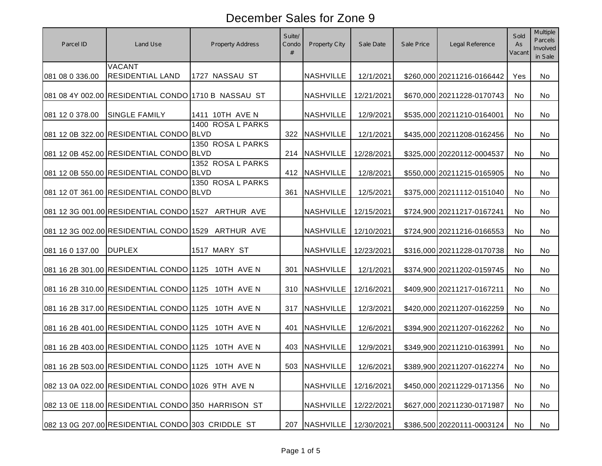| Parcel ID       | Land Use                                            | <b>Property Address</b> | Suite/<br>Condo | Property City    | Sale Date  | Sale Price | Legal Reference            | Sold<br>As<br>Vacant | <b>Multiple</b><br>Parcels<br>Involved<br>in Sale |
|-----------------|-----------------------------------------------------|-------------------------|-----------------|------------------|------------|------------|----------------------------|----------------------|---------------------------------------------------|
| 081 08 0 336.00 | <b>VACANT</b><br><b>RESIDENTIAL LAND</b>            | 1727 NASSAU ST          |                 | <b>NASHVILLE</b> | 12/1/2021  |            | \$260,000 20211216-0166442 | Yes                  | No                                                |
|                 | 081 08 4Y 002.00 RESIDENTIAL CONDO 1710 B NASSAU ST |                         |                 | <b>NASHVILLE</b> | 12/21/2021 |            | \$670,000 20211228-0170743 | No.                  | No                                                |
| 081 12 0 378.00 | <b>SINGLE FAMILY</b>                                | 1411 10TH AVE N         |                 | <b>NASHVILLE</b> | 12/9/2021  |            | \$535,000 20211210-0164001 | No.                  | No                                                |
|                 | 081 12 0B 322.00 RESIDENTIAL CONDO BLVD             | 1400 ROSA L PARKS       |                 | 322 NASHVILLE    | 12/1/2021  |            | \$435,000 20211208-0162456 | No.                  | No                                                |
|                 | 081 12 0B 452.00 RESIDENTIAL CONDO BLVD             | 1350 ROSA L PARKS       |                 | 214 NASHVILLE    | 12/28/2021 |            | \$325,000 20220112-0004537 | No.                  | No                                                |
|                 | 081 12 0B 550.00 RESIDENTIAL CONDO BLVD             | 1352 ROSA L PARKS       |                 | 412 NASHVILLE    | 12/8/2021  |            | \$550,000 20211215-0165905 | No.                  | No.                                               |
|                 | 081 12 0T 361.00 RESIDENTIAL CONDO BLVD             | 1350 ROSA L PARKS       | 361             | <b>NASHVILLE</b> | 12/5/2021  |            | \$375,000 20211112-0151040 | <b>No</b>            | No.                                               |
|                 | 081 12 3G 001.00 RESIDENTIAL CONDO 1527 ARTHUR AVE  |                         |                 | <b>NASHVILLE</b> | 12/15/2021 |            | \$724,900 20211217-0167241 | No                   | No.                                               |
|                 | 081 12 3G 002.00 RESIDENTIAL CONDO 1529 ARTHUR AVE  |                         |                 | <b>NASHVILLE</b> | 12/10/2021 |            | \$724,900 20211216-0166553 | No.                  | No.                                               |
| 081 16 0 137.00 | <b>DUPLEX</b>                                       | 1517 MARY ST            |                 | <b>NASHVILLE</b> | 12/23/2021 |            | \$316,000 20211228-0170738 | <b>No</b>            | No                                                |
|                 |                                                     | 10TH AVE N              | 301             | NASHVILLE        | 12/1/2021  |            | \$374,900 20211202-0159745 | No.                  | No                                                |
|                 | 081 16 2B 310.00 RESIDENTIAL CONDO 1125 10TH AVE N  |                         | 310             | NASHVILLE        | 12/16/2021 |            | \$409,900 20211217-0167211 | No.                  | No.                                               |
|                 | 081 16 2B 317.00 RESIDENTIAL CONDO 1125 10TH AVE N  |                         | 317             | <b>NASHVILLE</b> | 12/3/2021  |            | \$420,000 20211207-0162259 | No.                  | No.                                               |
|                 | 081 16 2B 401.00 RESIDENTIAL CONDO 1125 10TH AVE N  |                         | 401             | <b>NASHVILLE</b> | 12/6/2021  |            | \$394,900 20211207-0162262 | No                   | No.                                               |
|                 | 081 16 2B 403.00 RESIDENTIAL CONDO 1125             | 10TH AVE N              | 403             | <b>NASHVILLE</b> | 12/9/2021  |            | \$349,900 20211210-0163991 | <b>No</b>            | No                                                |
|                 | 081 16 2B 503.00 RESIDENTIAL CONDO 1125 10TH AVE N  |                         |                 | 503 NASHVILLE    | 12/6/2021  |            | \$389,900 20211207-0162274 | No                   | No                                                |
|                 | 082 13 0A 022.00 RESIDENTIAL CONDO 1026 9TH AVE N   |                         |                 | <b>NASHVILLE</b> | 12/16/2021 |            | \$450,000 20211229-0171356 | No                   | No                                                |
|                 | 082 13 0E 118.00 RESIDENTIAL CONDO 350 HARRISON ST  |                         |                 | <b>NASHVILLE</b> | 12/22/2021 |            | \$627,000 20211230-0171987 | No                   | No                                                |
|                 | 082 13 0G 207.00 RESIDENTIAL CONDO 303 CRIDDLE ST   |                         | 207             | <b>NASHVILLE</b> | 12/30/2021 |            | \$386,500 20220111-0003124 | No                   | No                                                |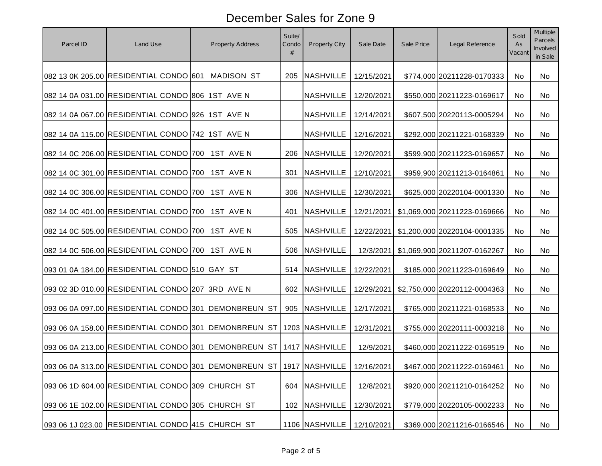| Parcel ID | Land Use                                         | Property Address                                                    | Suite/<br>Condo<br>$\#$ | Property City    | Sale Date  | Sale Price | Legal Reference              | Sold<br>As<br>Vacant | <b>Multiple</b><br>Parcels<br>Involved<br>in Sale |
|-----------|--------------------------------------------------|---------------------------------------------------------------------|-------------------------|------------------|------------|------------|------------------------------|----------------------|---------------------------------------------------|
|           | 082 13 0K 205.00 RESIDENTIAL CONDO 601           | <b>MADISON ST</b>                                                   | 205                     | <b>NASHVILLE</b> | 12/15/2021 |            | \$774,000 20211228-0170333   | No                   | No                                                |
|           | 082 14 0A 031.00 RESIDENTIAL CONDO 806 1ST AVE N |                                                                     |                         | <b>NASHVILLE</b> | 12/20/2021 |            | \$550,000 20211223-0169617   | No                   | No                                                |
|           | 082 14 0A 067.00 RESIDENTIAL CONDO 926 1ST AVE N |                                                                     |                         | <b>NASHVILLE</b> | 12/14/2021 |            | \$607,500 20220113-0005294   | No                   | No                                                |
|           | 082 14 0A 115.00 RESIDENTIAL CONDO 742 1ST AVE N |                                                                     |                         | <b>NASHVILLE</b> | 12/16/2021 |            | \$292,000 20211221-0168339   | No                   | No                                                |
|           | 082 14 0C 206.00 RESIDENTIAL CONDO 700 1ST AVE N |                                                                     | 206                     | <b>NASHVILLE</b> | 12/20/2021 |            | \$599,900 20211223-0169657   | <b>No</b>            | No                                                |
|           | 082 14 0C 301.00 RESIDENTIAL CONDO 700 1ST AVE N |                                                                     | 301                     | <b>NASHVILLE</b> | 12/10/2021 |            | \$959,900 20211213-0164861   | No                   | No                                                |
|           | 082 14 0C 306.00 RESIDENTIAL CONDO 700 1ST AVE N |                                                                     | 306                     | <b>NASHVILLE</b> | 12/30/2021 |            | \$625,000 20220104-0001330   | <b>No</b>            | No                                                |
|           | 082 14 0C 401.00 RESIDENTIAL CONDO 700 1ST AVE N |                                                                     | 401                     | <b>NASHVILLE</b> | 12/21/2021 |            | \$1,069,000 20211223-0169666 | No                   | No                                                |
|           | 082 14 0C 505.00 RESIDENTIAL CONDO 700 1ST AVE N |                                                                     | 505                     | <b>NASHVILLE</b> | 12/22/2021 |            | \$1,200,000 20220104-0001335 | No                   | No                                                |
|           | 082 14 0C 506.00 RESIDENTIAL CONDO 700 1ST AVE N |                                                                     | 506                     | <b>NASHVILLE</b> | 12/3/2021  |            | \$1,069,900 20211207-0162267 | No                   | No                                                |
|           | 093 01 0A 184.00 RESIDENTIAL CONDO 510 GAY ST    |                                                                     | 514                     | <b>NASHVILLE</b> | 12/22/2021 |            | \$185,000 20211223-0169649   | No                   | No                                                |
|           | 093 02 3D 010.00 RESIDENTIAL CONDO 207 3RD AVE N |                                                                     | 602                     | <b>NASHVILLE</b> | 12/29/2021 |            | \$2,750,000 20220112-0004363 | No                   | No                                                |
|           |                                                  | 093 06 0A 097.00 RESIDENTIAL CONDO 301 DEMONBREUN ST                | 905                     | <b>NASHVILLE</b> | 12/17/2021 |            | \$765,000 20211221-0168533   | No                   | No                                                |
|           |                                                  | 093 06 0A 158.00 RESIDENTIAL CONDO 301 DEMONBREUN ST                |                         | 1203 NASHVILLE   | 12/31/2021 |            | \$755,000 20220111-0003218   | No                   | No                                                |
|           |                                                  | 093 06 0A 213.00 RESIDENTIAL CONDO 301 DEMONBREUN ST 1417 NASHVILLE |                         |                  | 12/9/2021  |            | \$460,000 20211222-0169519   | No                   | No                                                |
|           |                                                  | 093 06 0A 313.00 RESIDENTIAL CONDO 301 DEMONBREUN ST 1917 NASHVILLE |                         |                  | 12/16/2021 |            | \$467,000 20211222-0169461   | No.                  | No                                                |
|           | 093 06 1D 604.00 RESIDENTIAL CONDO 309 CHURCH ST |                                                                     | 604                     | <b>NASHVILLE</b> | 12/8/2021  |            | \$920,000 20211210-0164252   | No                   | No                                                |
|           | 093 06 1E 102.00 RESIDENTIAL CONDO 305 CHURCH ST |                                                                     | 102                     | <b>NASHVILLE</b> | 12/30/2021 |            | \$779,000 20220105-0002233   | No                   | No                                                |
|           | 093 06 1J 023.00 RESIDENTIAL CONDO 415 CHURCH ST |                                                                     |                         | 1106 NASHVILLE   | 12/10/2021 |            | \$369,000 20211216-0166546   | No                   | No                                                |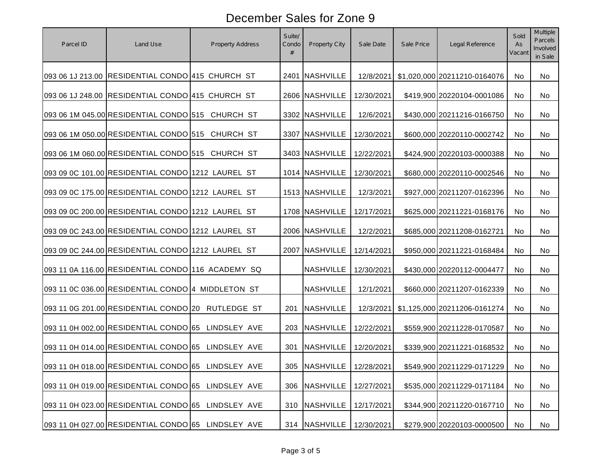| Parcel ID | Land Use                                           | <b>Property Address</b> | Suite/<br>Condo<br># | Property City    | Sale Date  | Sale Price | Legal Reference              | Sold<br>As<br>Vacant | <b>Multiple</b><br>Parcels<br>Involved<br>in Sale |
|-----------|----------------------------------------------------|-------------------------|----------------------|------------------|------------|------------|------------------------------|----------------------|---------------------------------------------------|
|           | 093 06 1J 213.00 RESIDENTIAL CONDO 415 CHURCH ST   |                         |                      | 2401 NASHVILLE   | 12/8/2021  |            | \$1,020,000 20211210-0164076 | No                   | No                                                |
|           | 093 06 1J 248.00 RESIDENTIAL CONDO 415 CHURCH ST   |                         |                      | 2606 NASHVILLE   | 12/30/2021 |            | \$419,900 20220104-0001086   | No                   | No                                                |
|           | 093 06 1M 045.00 RESIDENTIAL CONDO 515 CHURCH ST   |                         |                      | 3302 NASHVILLE   | 12/6/2021  |            | \$430,000 20211216-0166750   | No                   | No                                                |
|           | 093 06 1M 050.00 RESIDENTIAL CONDO 515 CHURCH ST   |                         |                      | 3307 NASHVILLE   | 12/30/2021 |            | \$600,000 20220110-0002742   | No                   | No                                                |
|           | 093 06 1M 060.00 RESIDENTIAL CONDO 515 CHURCH ST   |                         |                      | 3403 NASHVILLE   | 12/22/2021 |            | \$424,900 20220103-0000388   | No                   | No                                                |
|           | 093 09 0C 101.00 RESIDENTIAL CONDO 1212 LAUREL ST  |                         |                      | 1014 NASHVILLE   | 12/30/2021 |            | \$680,000 20220110-0002546   | No                   | No                                                |
|           | 093 09 0C 175.00 RESIDENTIAL CONDO 1212 LAUREL ST  |                         |                      | 1513 NASHVILLE   | 12/3/2021  |            | \$927,000 20211207-0162396   | No                   | No                                                |
|           | 093 09 0C 200.00 RESIDENTIAL CONDO 1212 LAUREL ST  |                         |                      | 1708 NASHVILLE   | 12/17/2021 |            | \$625,000 20211221-0168176   | No                   | No                                                |
|           | 093 09 0C 243.00 RESIDENTIAL CONDO 1212 LAUREL ST  |                         |                      | 2006 NASHVILLE   | 12/2/2021  |            | \$685,000 20211208-0162721   | No                   | No                                                |
|           | 093 09 0C 244.00 RESIDENTIAL CONDO 1212 LAUREL ST  |                         |                      | 2007 NASHVILLE   | 12/14/2021 |            | \$950,000 20211221-0168484   | No                   | No                                                |
|           | 093 11 0A 116.00 RESIDENTIAL CONDO 116 ACADEMY SQ  |                         |                      | <b>NASHVILLE</b> | 12/30/2021 |            | \$430,000 20220112-0004477   | No                   | No                                                |
|           | 093 11 0C 036.00 RESIDENTIAL CONDO 4 MIDDLETON ST  |                         |                      | <b>NASHVILLE</b> | 12/1/2021  |            | \$660,000 20211207-0162339   | No                   | No                                                |
|           | 093 11 0G 201.00 RESIDENTIAL CONDO 20 RUTLEDGE ST  |                         | 201                  | <b>NASHVILLE</b> | 12/3/2021  |            | \$1,125,000 20211206-0161274 | No                   | No                                                |
|           | 093 11 0H 002.00 RESIDENTIAL CONDO 65 LINDSLEY AVE |                         | 203                  | <b>NASHVILLE</b> | 12/22/2021 |            | \$559,900 20211228-0170587   | No                   | No                                                |
|           | 093 11 0H 014.00 RESIDENTIAL CONDO 65 LINDSLEY AVE |                         | 301                  | <b>NASHVILLE</b> | 12/20/2021 |            | \$339,900 20211221-0168532   | No                   | No                                                |
|           | 093 11 0H 018.00 RESIDENTIAL CONDO 65 LINDSLEY AVE |                         |                      | 305 NASHVILLE    | 12/28/2021 |            | \$549,900 20211229-0171229   | No.                  | No.                                               |
|           | 093 11 0H 019.00 RESIDENTIAL CONDO 65 LINDSLEY AVE |                         | 306                  | <b>NASHVILLE</b> | 12/27/2021 |            | \$535,000 20211229-0171184   | No                   | No                                                |
|           | 093 11 0H 023.00 RESIDENTIAL CONDO 65 LINDSLEY AVE |                         | 310                  | <b>NASHVILLE</b> | 12/17/2021 |            | \$344,900 20211220-0167710   | No                   | No                                                |
|           | 093 11 0H 027.00 RESIDENTIAL CONDO 65 LINDSLEY AVE |                         | 314                  | <b>NASHVILLE</b> | 12/30/2021 |            | \$279,900 20220103-0000500   | No                   | No                                                |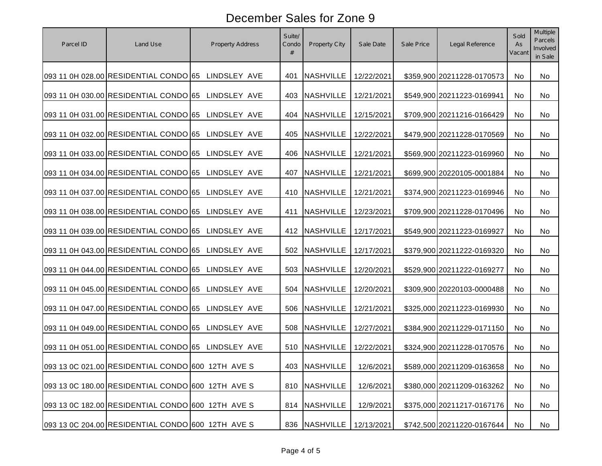| Parcel ID | Land Use                                           | Property Address | Suite/<br>Condo<br># | Property City    | Sale Date  | Sale Price | Legal Reference            | Sold<br>As<br>Vacant | <b>Multiple</b><br>Parcels<br>Involved<br>in Sale |
|-----------|----------------------------------------------------|------------------|----------------------|------------------|------------|------------|----------------------------|----------------------|---------------------------------------------------|
|           | 093 11 0H 028.00 RESIDENTIAL CONDO 65 LINDSLEY AVE |                  | 401                  | <b>NASHVILLE</b> | 12/22/2021 |            | \$359,900 20211228-0170573 | No                   | No                                                |
|           | 093 11 0H 030.00 RESIDENTIAL CONDO 65              | LINDSLEY AVE     | 403                  | <b>NASHVILLE</b> | 12/21/2021 |            | \$549,900 20211223-0169941 | No                   | No                                                |
|           | 093 11 0H 031.00 RESIDENTIAL CONDO 65 LINDSLEY AVE |                  | 404                  | <b>NASHVILLE</b> | 12/15/2021 |            | \$709,900 20211216-0166429 | <b>No</b>            | No                                                |
|           | 093 11 0H 032.00 RESIDENTIAL CONDO 65 LINDSLEY AVE |                  | 405                  | <b>NASHVILLE</b> | 12/22/2021 |            | \$479,900 20211228-0170569 | No                   | No                                                |
|           | 093 11 0H 033.00 RESIDENTIAL CONDO 65 LINDSLEY AVE |                  | 406                  | <b>NASHVILLE</b> | 12/21/2021 |            | \$569,900 20211223-0169960 | No                   | No                                                |
|           | 093 11 0H 034.00 RESIDENTIAL CONDO 65 LINDSLEY AVE |                  | 407                  | <b>NASHVILLE</b> | 12/21/2021 |            | \$699,900 20220105-0001884 | No                   | No                                                |
|           | 093 11 0H 037.00 RESIDENTIAL CONDO 65 LINDSLEY AVE |                  | 410                  | <b>NASHVILLE</b> | 12/21/2021 |            | \$374,900 20211223-0169946 | No                   | No                                                |
|           | 093 11 0H 038.00 RESIDENTIAL CONDO 65 LINDSLEY AVE |                  | 411                  | <b>NASHVILLE</b> | 12/23/2021 |            | \$709,900 20211228-0170496 | No                   | No                                                |
|           | 093 11 0H 039.00 RESIDENTIAL CONDO 65 LINDSLEY AVE |                  | 412                  | <b>NASHVILLE</b> | 12/17/2021 |            | \$549,900 20211223-0169927 | No                   | No                                                |
|           | 093 11 0H 043.00 RESIDENTIAL CONDO 65              | LINDSLEY AVE     | 502                  | <b>NASHVILLE</b> | 12/17/2021 |            | \$379,900 20211222-0169320 | <b>No</b>            | No                                                |
|           | 093 11 0H 044.00 RESIDENTIAL CONDO 65 LINDSLEY AVE |                  | 503                  | <b>NASHVILLE</b> | 12/20/2021 |            | \$529,900 20211222-0169277 | No                   | No                                                |
|           | 093 11 0H 045.00 RESIDENTIAL CONDO 65 LINDSLEY AVE |                  | 504                  | <b>NASHVILLE</b> | 12/20/2021 |            | \$309,900 20220103-0000488 | No                   | No                                                |
|           | 093 11 0H 047.00 RESIDENTIAL CONDO 65 LINDSLEY AVE |                  | 506                  | NASHVILLE        | 12/21/2021 |            | \$325,000 20211223-0169930 | No                   | No                                                |
|           | 093 11 0H 049.00 RESIDENTIAL CONDO 65 LINDSLEY AVE |                  | 508                  | <b>NASHVILLE</b> | 12/27/2021 |            | \$384,900 20211229-0171150 | No                   | No                                                |
|           | 093 11 0H 051.00 RESIDENTIAL CONDO 65 LINDSLEY AVE |                  | 510                  | <b>NASHVILLE</b> | 12/22/2021 |            | \$324,900 20211228-0170576 | No                   | No                                                |
|           | 093 13 0C 021.00 RESIDENTIAL CONDO 600 12TH AVE S  |                  |                      | 403 NASHVILLE    | 12/6/2021  |            | \$589,000 20211209-0163658 | No.                  | No                                                |
|           | 093 13 0C 180.00 RESIDENTIAL CONDO 600 12TH AVE S  |                  | 810                  | <b>NASHVILLE</b> | 12/6/2021  |            | \$380,000 20211209-0163262 | No                   | No                                                |
|           | 093 13 0C 182.00 RESIDENTIAL CONDO 600 12TH AVE S  |                  | 814                  | <b>NASHVILLE</b> | 12/9/2021  |            | \$375,000 20211217-0167176 | No                   | No                                                |
|           | 093 13 0C 204.00 RESIDENTIAL CONDO 600 12TH AVE S  |                  | 836                  | <b>NASHVILLE</b> | 12/13/2021 |            | \$742,500 20211220-0167644 | No                   | No                                                |